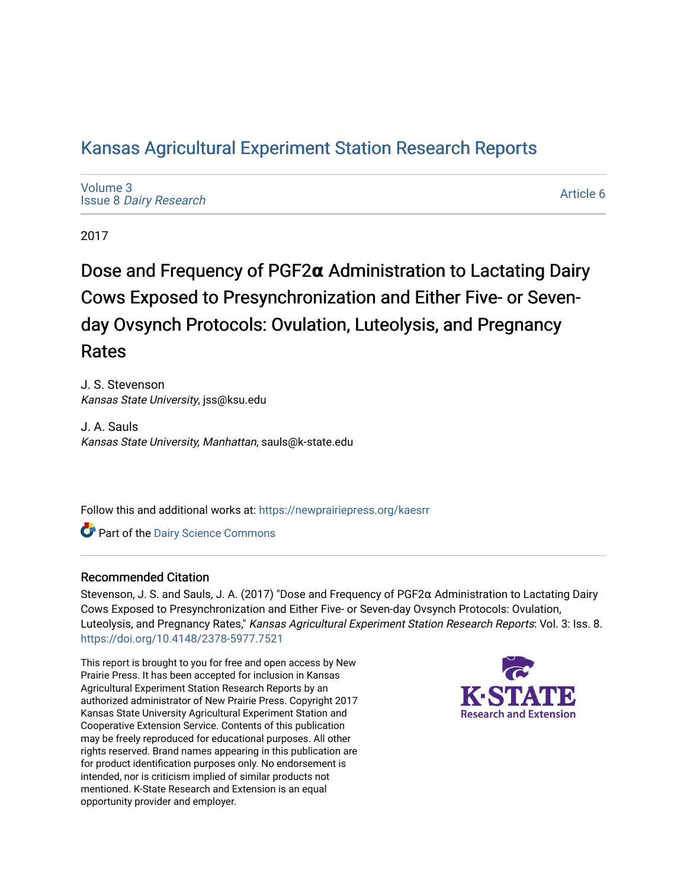# [Kansas Agricultural Experiment Station Research Reports](https://newprairiepress.org/kaesrr)

[Volume 3](https://newprairiepress.org/kaesrr/vol3) Issue 8 [Dairy Research](https://newprairiepress.org/kaesrr/vol3/iss8) 

[Article 6](https://newprairiepress.org/kaesrr/vol3/iss8/6) 

2017

Dose and Frequency of PGF2α Administration to Lactating Dairy Cows Exposed to Presynchronization and Either Five- or Sevenday Ovsynch Protocols: Ovulation, Luteolysis, and Pregnancy Rates

J. S. Stevenson Kansas State University, jss@ksu.edu

J. A. Sauls Kansas State University, Manhattan, sauls@k-state.edu

Follow this and additional works at: [https://newprairiepress.org/kaesrr](https://newprairiepress.org/kaesrr?utm_source=newprairiepress.org%2Fkaesrr%2Fvol3%2Fiss8%2F6&utm_medium=PDF&utm_campaign=PDFCoverPages) 

**C** Part of the Dairy Science Commons

## Recommended Citation

Stevenson, J. S. and Sauls, J. A. (2017) "Dose and Frequency of PGF2α Administration to Lactating Dairy Cows Exposed to Presynchronization and Either Five- or Seven-day Ovsynch Protocols: Ovulation, Luteolysis, and Pregnancy Rates," Kansas Agricultural Experiment Station Research Reports: Vol. 3: Iss. 8. <https://doi.org/10.4148/2378-5977.7521>

This report is brought to you for free and open access by New Prairie Press. It has been accepted for inclusion in Kansas Agricultural Experiment Station Research Reports by an authorized administrator of New Prairie Press. Copyright 2017 Kansas State University Agricultural Experiment Station and Cooperative Extension Service. Contents of this publication may be freely reproduced for educational purposes. All other rights reserved. Brand names appearing in this publication are for product identification purposes only. No endorsement is intended, nor is criticism implied of similar products not mentioned. K-State Research and Extension is an equal opportunity provider and employer.

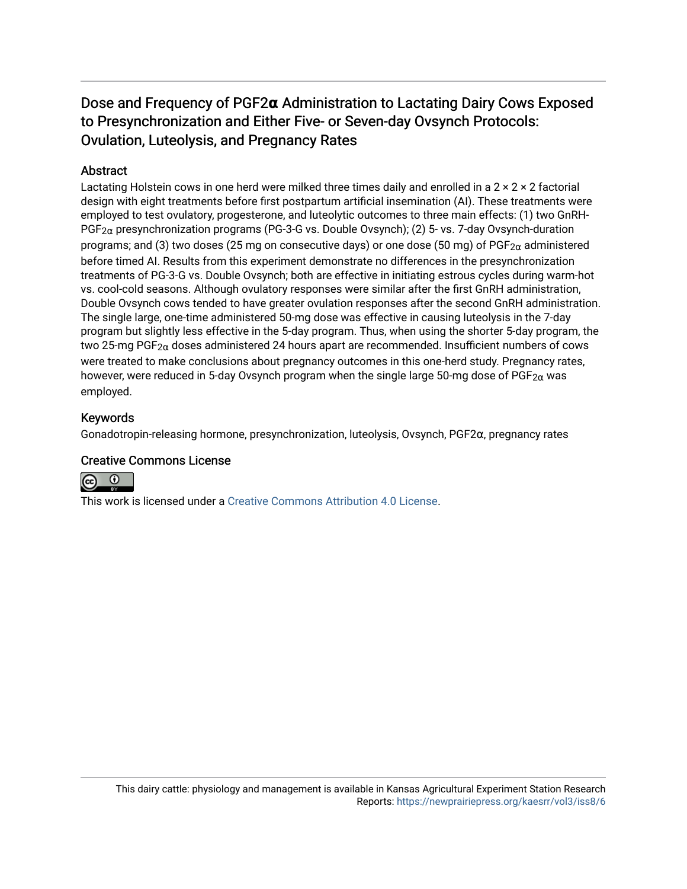# Dose and Frequency of PGF2α Administration to Lactating Dairy Cows Exposed to Presynchronization and Either Five- or Seven-day Ovsynch Protocols: Ovulation, Luteolysis, and Pregnancy Rates

## Abstract

Lactating Holstein cows in one herd were milked three times daily and enrolled in a 2 × 2 × 2 factorial design with eight treatments before first postpartum artificial insemination (AI). These treatments were employed to test ovulatory, progesterone, and luteolytic outcomes to three main effects: (1) two GnRH-PGF2α presynchronization programs (PG-3-G vs. Double Ovsynch); (2) 5- vs. 7-day Ovsynch-duration programs; and (3) two doses (25 mg on consecutive days) or one dose (50 mg) of PGF<sub>2 $\alpha$ </sub> administered before timed AI. Results from this experiment demonstrate no differences in the presynchronization treatments of PG-3-G vs. Double Ovsynch; both are effective in initiating estrous cycles during warm-hot vs. cool-cold seasons. Although ovulatory responses were similar after the first GnRH administration, Double Ovsynch cows tended to have greater ovulation responses after the second GnRH administration. The single large, one-time administered 50-mg dose was effective in causing luteolysis in the 7-day program but slightly less effective in the 5-day program. Thus, when using the shorter 5-day program, the two 25-mg PGF<sub>2 $\alpha$ </sub> doses administered 24 hours apart are recommended. Insufficient numbers of cows were treated to make conclusions about pregnancy outcomes in this one-herd study. Pregnancy rates, however, were reduced in 5-day Ovsynch program when the single large 50-mg dose of PGF<sub>2 $\alpha$ </sub> was employed.

## Keywords

Gonadotropin-releasing hormone, presynchronization, luteolysis, Ovsynch, PGF2α, pregnancy rates

## Creative Commons License



This work is licensed under a [Creative Commons Attribution 4.0 License](https://creativecommons.org/licenses/by/4.0/).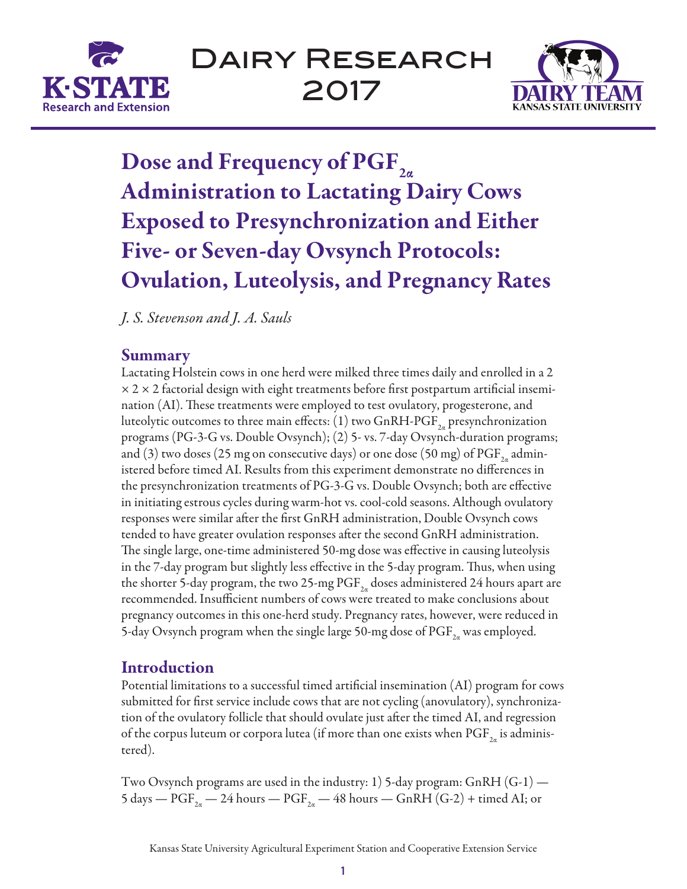



# Dose and Frequency of PGF<sub>2</sub> Administration to Lactating Dairy Cows Exposed to Presynchronization and Either Five- or Seven-day Ovsynch Protocols: Ovulation, Luteolysis, and Pregnancy Rates

*J. S. Stevenson and J. A. Sauls*

# Summary

Lactating Holstein cows in one herd were milked three times daily and enrolled in a 2  $\times$  2  $\times$  2 factorial design with eight treatments before first postpartum artificial insemination (AI). These treatments were employed to test ovulatory, progesterone, and luteolytic outcomes to three main effects: (1) two GnRH-PGF<sub>2a</sub> presynchronization programs (PG-3-G vs. Double Ovsynch); (2) 5- vs. 7-day Ovsynch-duration programs; and (3) two doses (25 mg on consecutive days) or one dose (50 mg) of  $\mathrm{PGF}_{_{2a}}$  administered before timed AI. Results from this experiment demonstrate no differences in the presynchronization treatments of PG-3-G vs. Double Ovsynch; both are effective in initiating estrous cycles during warm-hot vs. cool-cold seasons. Although ovulatory responses were similar after the first GnRH administration, Double Ovsynch cows tended to have greater ovulation responses after the second GnRH administration. The single large, one-time administered 50-mg dose was effective in causing luteolysis in the 7-day program but slightly less effective in the 5-day program. Thus, when using the shorter 5-day program, the two 25-mg  $\mathrm{PGF}_{2a}$  doses administered 24 hours apart are recommended. Insufficient numbers of cows were treated to make conclusions about pregnancy outcomes in this one-herd study. Pregnancy rates, however, were reduced in 5-day Ovsynch program when the single large 50-mg dose of  $\mathrm{PGF}_{\mathbf{2a}}$  was employed.

# Introduction

Potential limitations to a successful timed artificial insemination (AI) program for cows submitted for first service include cows that are not cycling (anovulatory), synchronization of the ovulatory follicle that should ovulate just after the timed AI, and regression of the corpus luteum or corpora lutea (if more than one exists when  $\text{PGF}_{2a}$  is administered).

Two Ovsynch programs are used in the industry: 1) 5-day program: GnRH  $(G-1)$  — 5 days —  $\mathrm{PGF}_{2a}$  — 24 hours —  $\mathrm{PGF}_{2a}$  — 48 hours —  $\mathrm{GnRH}$  (G-2) + timed AI; or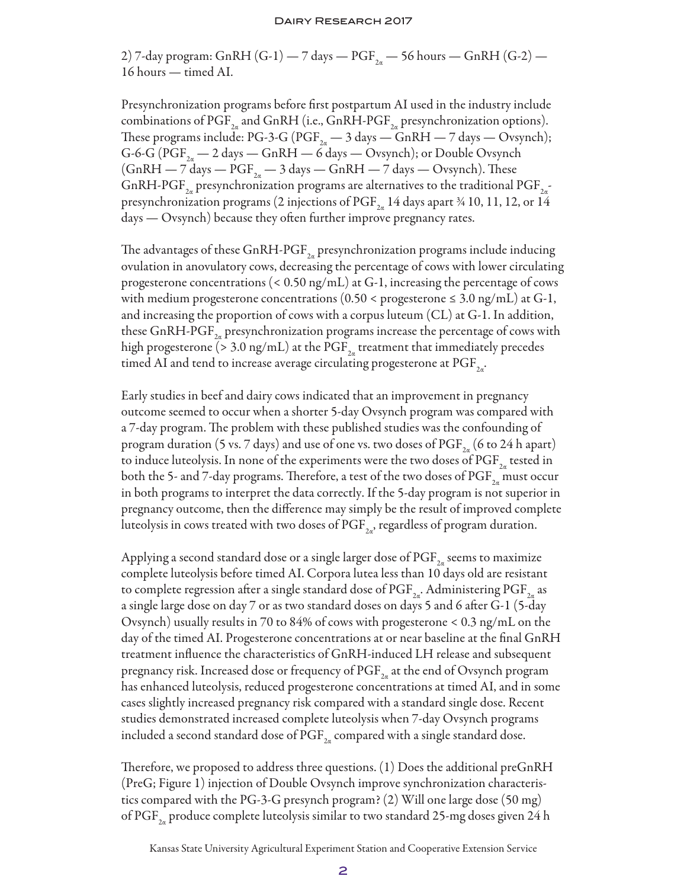#### Dairy Research 2017

2) 7-day program: GnRH (G-1) — 7 days —  $\mathrm{PGF}_{2a}$  — 56 hours — GnRH (G-2) — 16 hours — timed AI.

Presynchronization programs before first postpartum AI used in the industry include combinations of PGF<sub>2α</sub> and GnRH (i.e., GnRH-PGF<sub>2α</sub> presynchronization options). These programs include: PG-3-G ( $\mathrm{PGF}_{2a}$  — 3 days — GnRH — 7 days — Ovsynch); G-6-G ( $\text{PGF}_{2a}$  — 2 days — GnRH — 6 days — Ovsynch); or Double Ovsynch (GnRH — 7 days —  $\mathrm{PGF}_{2a}$  — 3 days — GnRH — 7 days — Ovsynch). These GnRH-PGF $_{\rm 2a}$  presynchronization programs are alternatives to the traditional PGF $_{\rm 2a}^{-1}$ presynchronization programs (2 injections of  $\mathrm{PGF}_{2a}$  14 days apart ¾ 10, 11, 12, or 14 days — Ovsynch) because they often further improve pregnancy rates.

The advantages of these GnRH-PGF $_{_{2a}}$  presynchronization programs include inducing ovulation in anovulatory cows, decreasing the percentage of cows with lower circulating progesterone concentrations (< 0.50 ng/mL) at G-1, increasing the percentage of cows with medium progesterone concentrations  $(0.50 <$  progesterone  $\leq 3.0$  ng/mL) at G-1, and increasing the proportion of cows with a corpus luteum (CL) at G-1. In addition, these GnRH-PGF $_{_{2a}}$  presynchronization programs increase the percentage of cows with high progesterone (> 3.0 ng/mL) at the  $\mathrm{PGF}_{_{2\alpha}}$  treatment that immediately precedes timed AI and tend to increase average circulating progesterone at  $\mathrm{PGF}_{\text{2a'}}$ 

Early studies in beef and dairy cows indicated that an improvement in pregnancy outcome seemed to occur when a shorter 5-day Ovsynch program was compared with a 7-day program. The problem with these published studies was the confounding of program duration (5 vs. 7 days) and use of one vs. two doses of  $\mathrm{PGF}_{_{2a}}$  (6 to 24 h apart) to induce luteolysis. In none of the experiments were the two doses of  $\mathrm{PGF}_{_{2a}}$  tested in both the 5- and 7-day programs. Therefore, a test of the two doses of  $\mathrm{PGF}_{2a}$  must occur in both programs to interpret the data correctly. If the 5-day program is not superior in pregnancy outcome, then the difference may simply be the result of improved complete luteolysis in cows treated with two doses of  $\mathrm{PGF}_{\mathrm{2a^\prime}}$  regardless of program duration.

Applying a second standard dose or a single larger dose of  $\mathrm{PGF}_{2a}$  seems to maximize complete luteolysis before timed AI. Corpora lutea less than 10 days old are resistant to complete regression after a single standard dose of  $\mathrm{PGF}_{\mathrm{2a^\prime}}$ . Administering  $\mathrm{PGF}_{\mathrm{2a}}$  as a single large dose on day 7 or as two standard doses on days 5 and 6 after G-1 (5-day Ovsynch) usually results in 70 to 84% of cows with progesterone < 0.3 ng/mL on the day of the timed AI. Progesterone concentrations at or near baseline at the final GnRH treatment influence the characteristics of GnRH-induced LH release and subsequent pregnancy risk. Increased dose or frequency of  $\mathrm{PGF}_{_{2a}}$  at the end of Ovsynch program has enhanced luteolysis, reduced progesterone concentrations at timed AI, and in some cases slightly increased pregnancy risk compared with a standard single dose. Recent studies demonstrated increased complete luteolysis when 7-day Ovsynch programs included a second standard dose of  $\mathrm{PGF}_{2n}$  compared with a single standard dose.

Therefore, we proposed to address three questions. (1) Does the additional preGnRH (PreG; Figure 1) injection of Double Ovsynch improve synchronization characteristics compared with the PG-3-G presynch program? (2) Will one large dose (50 mg) of PGF $_{\rm 2a}$  produce complete luteolysis similar to two standard 25-mg doses given 24 h

Kansas State University Agricultural Experiment Station and Cooperative Extension Service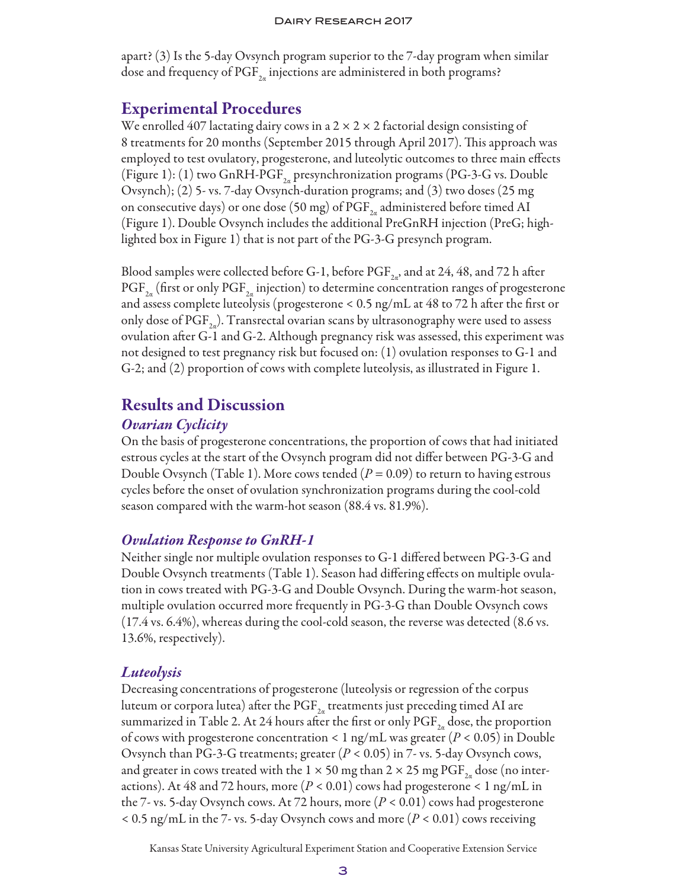apart? (3) Is the 5-day Ovsynch program superior to the 7-day program when similar dose and frequency of PGF $_{\rm 2\alpha}$  injections are administered in both programs?

# Experimental Procedures

We enrolled 407 lactating dairy cows in a  $2 \times 2 \times 2$  factorial design consisting of 8 treatments for 20 months (September 2015 through April 2017). This approach was employed to test ovulatory, progesterone, and luteolytic outcomes to three main effects (Figure 1): (1) two GnRH-PGF<sub>2a</sub> presynchronization programs (PG-3-G vs. Double Ovsynch); (2) 5- vs. 7-day Ovsynch-duration programs; and (3) two doses (25 mg on consecutive days) or one dose (50 mg) of  $\mathrm{PGF}_{2a}$  administered before timed AI (Figure 1). Double Ovsynch includes the additional PreGnRH injection (PreG; highlighted box in Figure 1) that is not part of the PG-3-G presynch program.

Blood samples were collected before G-1, before PGF $_{2a'}$ , and at 24, 48, and 72 h after  $\mathrm{PGF}_{2\alpha}$  (first or only  $\mathrm{PGF}_{2\alpha}$  injection) to determine concentration ranges of progesterone and assess complete luteolysis (progesterone < 0.5 ng/mL at 48 to 72 h after the first or only dose of  $\mathrm{PGF}_{2a}$ ). Transrectal ovarian scans by ultrasonography were used to assess ovulation after G-1 and G-2. Although pregnancy risk was assessed, this experiment was not designed to test pregnancy risk but focused on: (1) ovulation responses to G-1 and G-2; and (2) proportion of cows with complete luteolysis, as illustrated in Figure 1.

## Results and Discussion

## *Ovarian Cyclicity*

On the basis of progesterone concentrations, the proportion of cows that had initiated estrous cycles at the start of the Ovsynch program did not differ between PG-3-G and Double Ovsynch (Table 1). More cows tended  $(P = 0.09)$  to return to having estrous cycles before the onset of ovulation synchronization programs during the cool-cold season compared with the warm-hot season (88.4 vs. 81.9%).

## *Ovulation Response to GnRH-1*

Neither single nor multiple ovulation responses to G-1 differed between PG-3-G and Double Ovsynch treatments (Table 1). Season had differing effects on multiple ovulation in cows treated with PG-3-G and Double Ovsynch. During the warm-hot season, multiple ovulation occurred more frequently in PG-3-G than Double Ovsynch cows (17.4 vs. 6.4%), whereas during the cool-cold season, the reverse was detected (8.6 vs. 13.6%, respectively).

## *Luteolysis*

Decreasing concentrations of progesterone (luteolysis or regression of the corpus luteum or corpora lutea) after the  $\mathrm{PGF}_{2a}$  treatments just preceding timed AI are summarized in Table 2. At 24 hours after the first or only  $\text{PGF}_{2a}$  dose, the proportion of cows with progesterone concentration < 1 ng/mL was greater (*P* < 0.05) in Double Ovsynch than PG-3-G treatments; greater (*P* < 0.05) in 7- vs. 5-day Ovsynch cows, and greater in cows treated with the 1  $\times$  50 mg than 2  $\times$  25 mg PGF<sub>2q</sub> dose (no interactions). At 48 and 72 hours, more  $(P < 0.01)$  cows had progesterone  $< 1$  ng/mL in the 7- vs. 5-day Ovsynch cows. At 72 hours, more  $(P < 0.01)$  cows had progesterone < 0.5 ng/mL in the 7- vs. 5-day Ovsynch cows and more (*P* < 0.01) cows receiving

Kansas State University Agricultural Experiment Station and Cooperative Extension Service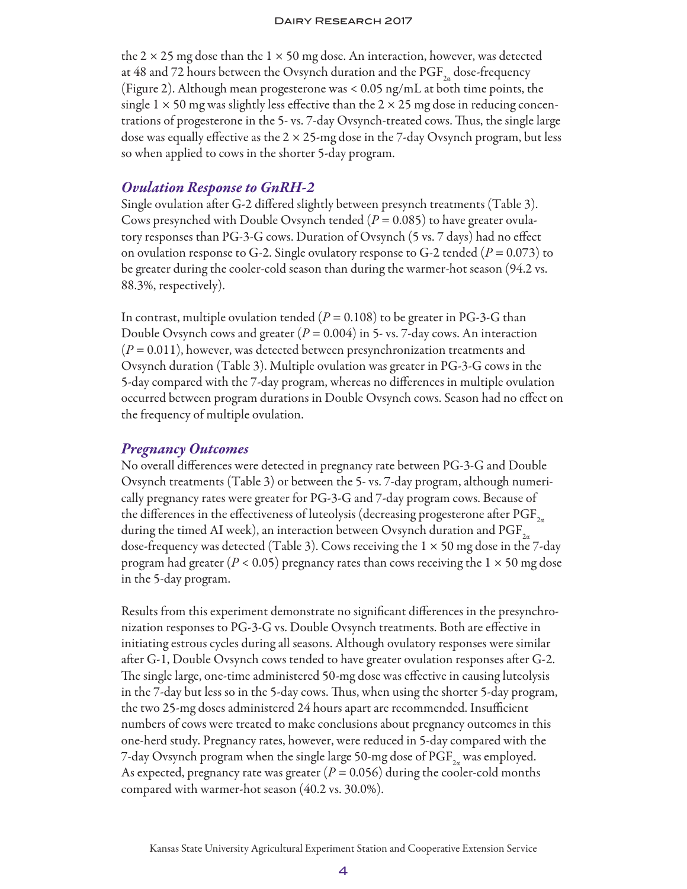the 2  $\times$  25 mg dose than the 1  $\times$  50 mg dose. An interaction, however, was detected at 48 and 72 hours between the Ovsynch duration and the  $\text{PGF}_{2a}$  dose-frequency (Figure 2). Although mean progesterone was < 0.05 ng/mL at both time points, the single  $1 \times 50$  mg was slightly less effective than the  $2 \times 25$  mg dose in reducing concentrations of progesterone in the 5- vs. 7-day Ovsynch-treated cows. Thus, the single large dose was equally effective as the  $2 \times 25$ -mg dose in the 7-day Ovsynch program, but less so when applied to cows in the shorter 5-day program.

## *Ovulation Response to GnRH-2*

Single ovulation after G-2 differed slightly between presynch treatments (Table 3). Cows presynched with Double Ovsynch tended  $(P = 0.085)$  to have greater ovulatory responses than PG-3-G cows. Duration of Ovsynch (5 vs. 7 days) had no effect on ovulation response to G-2. Single ovulatory response to G-2 tended (*P* = 0.073) to be greater during the cooler-cold season than during the warmer-hot season (94.2 vs. 88.3%, respectively).

In contrast, multiple ovulation tended  $(P = 0.108)$  to be greater in PG-3-G than Double Ovsynch cows and greater (*P* = 0.004) in 5- vs. 7-day cows. An interaction (*P* = 0.011), however, was detected between presynchronization treatments and Ovsynch duration (Table 3). Multiple ovulation was greater in PG-3-G cows in the 5-day compared with the 7-day program, whereas no differences in multiple ovulation occurred between program durations in Double Ovsynch cows. Season had no effect on the frequency of multiple ovulation.

## *Pregnancy Outcomes*

No overall differences were detected in pregnancy rate between PG-3-G and Double Ovsynch treatments (Table 3) or between the 5- vs. 7-day program, although numerically pregnancy rates were greater for PG-3-G and 7-day program cows. Because of the differences in the effectiveness of luteolysis (decreasing progesterone after  $\mathrm{PGF}_{2a}$ during the timed AI week), an interaction between Ovsynch duration and  $\mathrm{PGF}_{2a}$ dose-frequency was detected (Table 3). Cows receiving the  $1 \times 50$  mg dose in the 7-day program had greater ( $P < 0.05$ ) pregnancy rates than cows receiving the  $1 \times 50$  mg dose in the 5-day program.

Results from this experiment demonstrate no significant differences in the presynchronization responses to PG-3-G vs. Double Ovsynch treatments. Both are effective in initiating estrous cycles during all seasons. Although ovulatory responses were similar after G-1, Double Ovsynch cows tended to have greater ovulation responses after G-2. The single large, one-time administered 50-mg dose was effective in causing luteolysis in the 7-day but less so in the 5-day cows. Thus, when using the shorter 5-day program, the two 25-mg doses administered 24 hours apart are recommended. Insufficient numbers of cows were treated to make conclusions about pregnancy outcomes in this one-herd study. Pregnancy rates, however, were reduced in 5-day compared with the 7-day Ovsynch program when the single large 50-mg dose of  $\mathrm{PGF}_{2a}$  was employed. As expected, pregnancy rate was greater  $(P = 0.056)$  during the cooler-cold months compared with warmer-hot season (40.2 vs. 30.0%).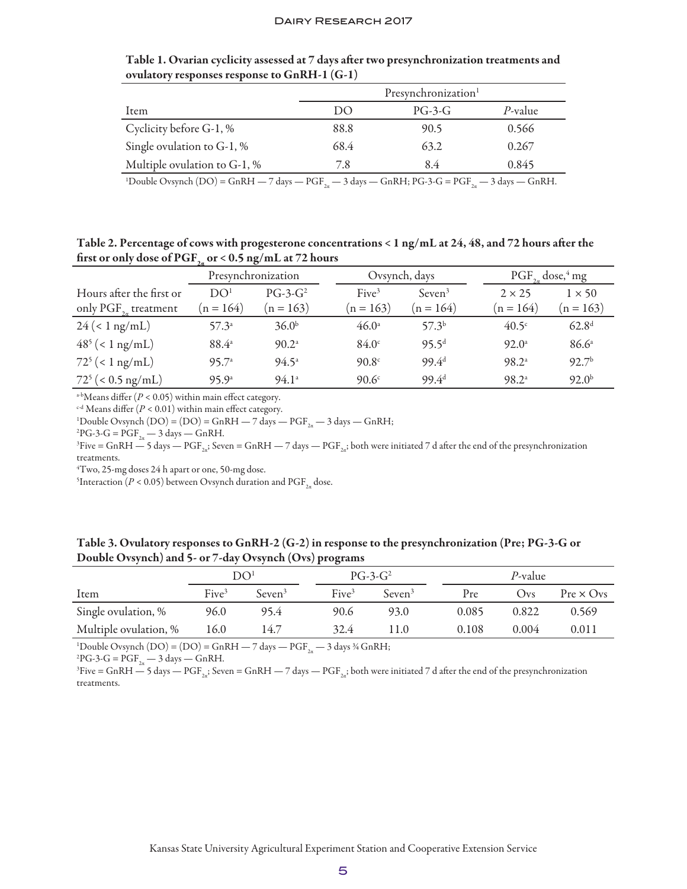|                              | Presynchronization <sup>1</sup> |          |         |  |  |
|------------------------------|---------------------------------|----------|---------|--|--|
| Item                         | 1)()                            | $PG-3-G$ | P-value |  |  |
| Cyclicity before G-1, %      | 88.8                            | 90.5     | 0.566   |  |  |
| Single ovulation to G-1, %   | 68.4                            | 63.2     | 0.267   |  |  |
| Multiple ovulation to G-1, % | 7.8                             | 84       | 0.845   |  |  |

Table 1. Ovarian cyclicity assessed at 7 days after two presynchronization treatments and ovulatory responses response to GnRH-1 (G-1)

<sup>1</sup>Double Ovsynch (DO) = GnRH  $-$  7 days  $-$  PGF<sub>2a</sub>  $-$  3 days  $-$  GnRH; PG-3-G = PGF<sub>2a</sub>  $-$  3 days  $-$  GnRH.

Table 2. Percentage of cows with progesterone concentrations < 1 ng/mL at 24, 48, and 72 hours after the first or only dose of PGF<sub>2a</sub> or < 0.5 ng/mL at 72 hours

|                                       | Presynchronization |                   | Ovsynch, days     |                       |  | $PGF_{2a}$ dose, <sup>4</sup> mg |                   |
|---------------------------------------|--------------------|-------------------|-------------------|-----------------------|--|----------------------------------|-------------------|
| Hours after the first or              | DO <sup>1</sup>    | $PG-3-G^2$        | Five <sup>3</sup> | $S$ even <sup>3</sup> |  | $2 \times 25$                    | $1 \times 50$     |
| only $\mathrm{PGF}_{2n}$ treatment    | $n = 164$          | $(n = 163)$       | $(n = 163)$       | $(n = 164)$           |  | $(n = 164)$                      | $(n = 163)$       |
| $24 \left( < 1 \text{ ng/mL} \right)$ | $57.3^{\circ}$     | 36.0 <sup>b</sup> | $46.0^{\circ}$    | 57.3 <sup>b</sup>     |  | $40.5^\circ$                     | 62.8 <sup>d</sup> |
| $48^5$ (< 1 ng/mL)                    | $88.4^{\circ}$     | $90.2^{\circ}$    | $84.0^{\circ}$    | $95.5^{d}$            |  | $92.0^{\circ}$                   | 86.6 <sup>a</sup> |
| $72^5$ (< 1 ng/mL)                    | 95.7a              | $94.5^{\circ}$    | 90.8 <sup>c</sup> | 99.4 <sup>d</sup>     |  | 98.2 <sup>a</sup>                | 92.7 <sup>b</sup> |
| $72^5$ (< 0.5 ng/mL)                  | 95.9 <sup>a</sup>  | $94.1^{\circ}$    | 90.6 <sup>c</sup> | $99.4^{d}$            |  | 98.2 <sup>a</sup>                | $92.0^{b}$        |

 $a$ -bMeans differ ( $P < 0.05$ ) within main effect category.

 $^{c-d}$  Means differ ( $P < 0.01$ ) within main effect category.

<sup>1</sup>Double Ovsynch (DO) = (DO) = GnRH — 7 days — PGF<sub>2a</sub> — 3 days — GnRH;<br><sup>2</sup>PG-3-G = PGF — 3 days — GnRH

 ${}^{2}PG-3-G = PGF_{2\alpha} - 3 \text{ days} - GnRH.$ 

 $F^3$ Five = GnRH  $-$  5 days  $-$  PGF<sub>22</sub>; Seven = GnRH  $-$  7 days  $-$  PGF<sub>22</sub>; both were initiated 7 d after the end of the presynchronization treatments.

4 Two, 25-mg doses 24 h apart or one, 50-mg dose.

<sup>5</sup>Interaction ( $P < 0.05$ ) between Ovsynch duration and  $\mathrm{PGF}_{2\alpha}$  dose.

Table 3. Ovulatory responses to GnRH-2 (G-2) in response to the presynchronization (Pre; PG-3-G or Double Ovsynch) and 5- or 7-day Ovsynch (Ovs) programs

|                       | DO <sup>1</sup>   |                       |                   | $PG-3-G^2$            |       | P-value |                  |  |
|-----------------------|-------------------|-----------------------|-------------------|-----------------------|-------|---------|------------------|--|
| Item                  | Five <sup>3</sup> | $S$ even <sup>3</sup> | Five <sup>3</sup> | $S$ even <sup>3</sup> | Pre   | $V$ $V$ | $Pre \times Ovs$ |  |
| Single ovulation, %   | 96.0              | 95.4                  | 90.6              | 93.0                  | 0.085 | 0.822   | 0.569            |  |
| Multiple ovulation, % | 16.0              | 14.7                  | 32.4              | 11.0                  | 0.108 | 0.004   | 0.011            |  |

<sup>1</sup>Double Ovsynch (DO) = (DO) = GnRH — 7 days — PGF<sub>2a</sub> — 3 days ¾ GnRH;<br><sup>2</sup>PG-3-G – PGF — 3 days — GnRH

 $^{2}PG-3-G = PGF_{2a} - 3 days - GnRH.$ 

<sup>3</sup>Five = GnRH  $-$  5 days  $-$  PGF<sub>2a</sub>; Seven = GnRH  $-$  7 days  $-$  PGF<sub>2a</sub>; both were initiated 7 d after the end of the presynchronization treatments.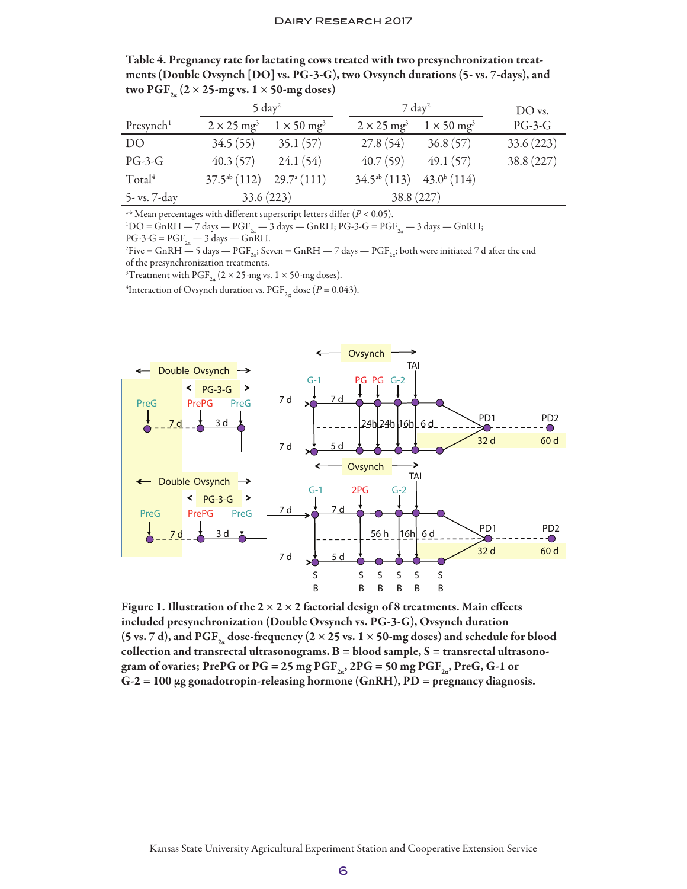| two PGF <sub>2n</sub> (2 × 25-mg vs. 1 × 50-mg doses) |                               |                               |                               |                               |           |
|-------------------------------------------------------|-------------------------------|-------------------------------|-------------------------------|-------------------------------|-----------|
|                                                       | $5 \mathrm{day}^2$            |                               | $7 \mathrm{day}^2$            | DO vs.                        |           |
| Presynch <sup>1</sup>                                 | $2 \times 25$ mg <sup>3</sup> | $1 \times 50$ mg <sup>3</sup> | $2 \times 25$ mg <sup>3</sup> | $1 \times 50$ mg <sup>3</sup> | $PG-3-G$  |
| D <sub>O</sub>                                        | 34.5(55)                      | 35.1(57)                      | 27.8(54)                      | 36.8(57)                      | 33.6(223) |
| $PG-3-G$                                              | 40.3(57)                      | 24.1(54)                      | 40.7(59)                      | 49.1(57)                      | 38.8(227) |
| Total <sup>4</sup>                                    | $37.5^{ab}$ (112)             | $29.7^{\mathrm{a}}(111)$      | $34.5^{ab}$ (113)             | $43.0^{b}$ (114)              |           |
| 5- vs. 7-day                                          | 33.6(223)                     |                               | 38.8(227)                     |                               |           |

Table 4. Pregnancy rate for lactating cows treated with two presynchronization treatments (Double Ovsynch [DO] vs. PG-3-G), two Ovsynch durations (5- vs. 7-days), and

 $a$ <sup>-b</sup> Mean percentages with different superscript letters differ ( $P < 0.05$ ).

 ${}^{1}$ DO = GnRH — 7 days — PGF<sub>2a</sub> — 3 days — GnRH; PG-3-G = PGF<sub>2a</sub> — 3 days — GnRH;

 $PG-3-G = PGF_{2a} - 3 \text{ days} - GnRH.$ 

 $^{2}$ Five = GnRH  $-$  5 days  $-$  PGF<sub>2a</sub>; Seven = GnRH  $-$  7 days  $-$  PGF<sub>2a</sub>; both were initiated 7 d after the end of the presynchronization treatments.

<sup>3</sup>Treatment with PGF<sub>2a</sub> (2 × 25-mg vs. 1 × 50-mg doses).

<sup>4</sup>Interaction of Ovsynch duration vs.  $\mathrm{PGF}_{2\alpha}$  dose ( $P = 0.043$ ).



Figure 1. Illustration of the  $2 \times 2 \times 2$  factorial design of 8 treatments. Main effects included presynchronization (Double Ovsynch vs. PG-3-G), Ovsynch duration (5 vs. 7 d), and PGF<sub>2</sub> dose-frequency (2 × 25 vs. 1 × 50-mg doses) and schedule for blood collection and transrectal ultrasonograms.  $B = blood$  sample,  $S =$  transrectal ultrasonogram of ovaries; PrePG or PG = 25 mg PGF $_{2a}$ , 2PG = 50 mg PGF $_{2a}$ , PreG, G-1 or  $G-2 = 100 \mu g$  gonadotropin-releasing hormone (GnRH), PD = pregnancy diagnosis.